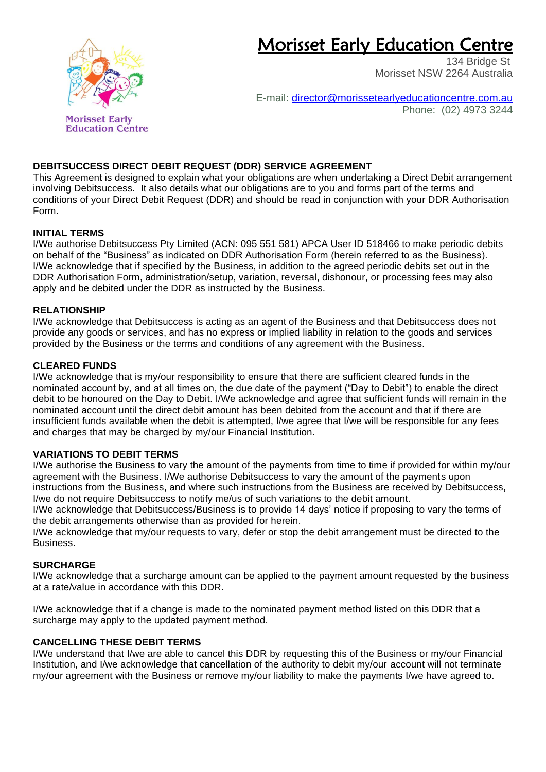# Morisset Early Education Centre



E-mail: [director@morissetearlyeducationcentre.com.au](mailto:director@morissetearlyeducationcentre.com.au) Phone: (02) 4973 3244

# **DEBITSUCCESS DIRECT DEBIT REQUEST (DDR) SERVICE AGREEMENT**

This Agreement is designed to explain what your obligations are when undertaking a Direct Debit arrangement involving Debitsuccess. It also details what our obligations are to you and forms part of the terms and conditions of your Direct Debit Request (DDR) and should be read in conjunction with your DDR Authorisation Form.

# **INITIAL TERMS**

I/We authorise Debitsuccess Pty Limited (ACN: 095 551 581) APCA User ID 518466 to make periodic debits on behalf of the "Business" as indicated on DDR Authorisation Form (herein referred to as the Business). I/We acknowledge that if specified by the Business, in addition to the agreed periodic debits set out in the DDR Authorisation Form, administration/setup, variation, reversal, dishonour, or processing fees may also apply and be debited under the DDR as instructed by the Business.

# **RELATIONSHIP**

I/We acknowledge that Debitsuccess is acting as an agent of the Business and that Debitsuccess does not provide any goods or services, and has no express or implied liability in relation to the goods and services provided by the Business or the terms and conditions of any agreement with the Business.

# **CLEARED FUNDS**

I/We acknowledge that is my/our responsibility to ensure that there are sufficient cleared funds in the nominated account by, and at all times on, the due date of the payment ("Day to Debit") to enable the direct debit to be honoured on the Day to Debit. I/We acknowledge and agree that sufficient funds will remain in the nominated account until the direct debit amount has been debited from the account and that if there are insufficient funds available when the debit is attempted, I/we agree that I/we will be responsible for any fees and charges that may be charged by my/our Financial Institution.

#### **VARIATIONS TO DEBIT TERMS**

I/We authorise the Business to vary the amount of the payments from time to time if provided for within my/our agreement with the Business. I/We authorise Debitsuccess to vary the amount of the payments upon instructions from the Business, and where such instructions from the Business are received by Debitsuccess, I/we do not require Debitsuccess to notify me/us of such variations to the debit amount.

I/We acknowledge that Debitsuccess/Business is to provide 14 days' notice if proposing to vary the terms of the debit arrangements otherwise than as provided for herein.

I/We acknowledge that my/our requests to vary, defer or stop the debit arrangement must be directed to the Business.

#### **SURCHARGE**

I/We acknowledge that a surcharge amount can be applied to the payment amount requested by the business at a rate/value in accordance with this DDR.

I/We acknowledge that if a change is made to the nominated payment method listed on this DDR that a surcharge may apply to the updated payment method.

#### **CANCELLING THESE DEBIT TERMS**

I/We understand that I/we are able to cancel this DDR by requesting this of the Business or my/our Financial Institution, and I/we acknowledge that cancellation of the authority to debit my/our account will not terminate my/our agreement with the Business or remove my/our liability to make the payments I/we have agreed to.